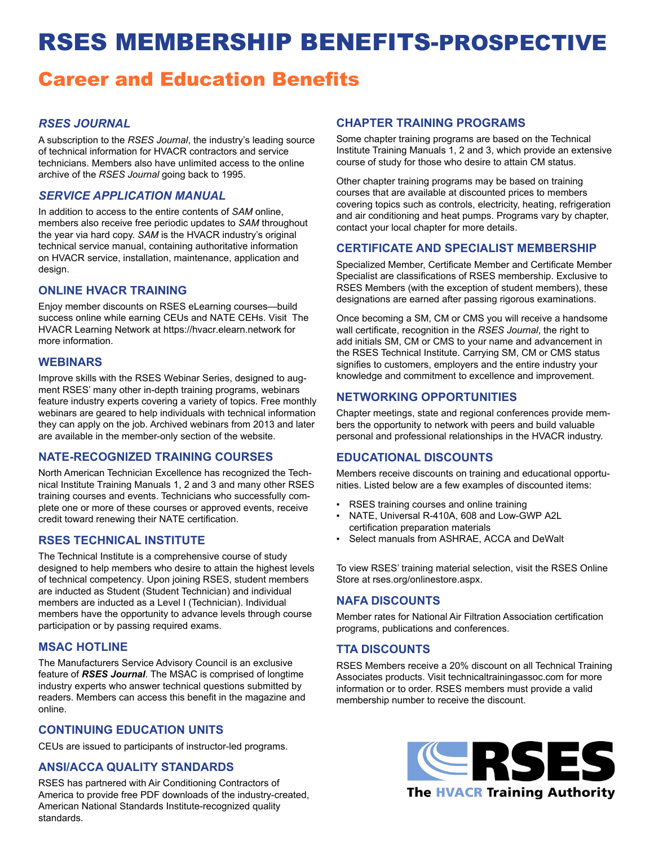# RSES MEMBERSHIP BENEFITS-PROSPECTIVE

# Career and Education Benefits

# *RSES JOURNAL*

A subscription to the *RSES Journal*, the industry's leading source of technical information for HVACR contractors and service technicians. Members also have unlimited access to the online archive of the *RSES Journal* going back to 1995.

# *SERVICE APPLICATION MANUAL*

In addition to access to the entire contents of *SAM* online, members also receive free periodic updates to *SAM* throughout the year via hard copy. *SAM* is the HVACR industry's original technical service manual, containing authoritative information on HVACR service, installation, maintenance, application and design.

## **ONLINE HVACR TRAINING**

Enjoy member discounts on RSES eLearning courses—build success online while earning CEUs and NATE CEHs. Visit The HVACR Learning Network at https://hvacr.elearn.network for more information.

#### **WEBINARS**

Improve skills with the RSES Webinar Series, designed to augment RSES' many other in-depth training programs, webinars feature industry experts covering a variety of topics. Free monthly webinars are geared to help individuals with technical information they can apply on the job. Archived webinars from 2013 and later are available in the member-only section of the website.

#### **NATE-RECOGNIZED TRAINING COURSES**

North American Technician Excellence has recognized the Technical Institute Training Manuals 1, 2 and 3 and many other RSES training courses and events. Technicians who successfully complete one or more of these courses or approved events, receive credit toward renewing their NATE certification.

#### **RSES TECHNICAL INSTITUTE**

The Technical Institute is a comprehensive course of study designed to help members who desire to attain the highest levels of technical competency. Upon joining RSES, student members are inducted as Student (Student Technician) and individual members are inducted as a Level I (Technician). Individual members have the opportunity to advance levels through course participation or by passing required exams.

#### **MSAC HOTLINE**

The Manufacturers Service Advisory Council is an exclusive feature of *RSES Journal*. The MSAC is comprised of longtime industry experts who answer technical questions submitted by readers. Members can access this benefit in the magazine and online.

#### **CONTINUING EDUCATION UNITS**

CEUs are issued to participants of instructor-led programs.

#### **ANSI/ACCA QUALITY STANDARDS**

RSES has partnered with Air Conditioning Contractors of America to provide free PDF downloads of the industry-created, American National Standards Institute-recognized quality standards.

# **CHAPTER TRAINING PROGRAMS**

Some chapter training programs are based on the Technical Institute Training Manuals 1, 2 and 3, which provide an extensive course of study for those who desire to attain CM status.

Other chapter training programs may be based on training courses that are available at discounted prices to members covering topics such as controls, electricity, heating, refrigeration and air conditioning and heat pumps. Programs vary by chapter, contact your local chapter for more details.

#### **CERTIFICATE AND SPECIALIST MEMBERSHIP**

Specialized Member, Certificate Member and Certificate Member Specialist are classifications of RSES membership. Exclusive to RSES Members (with the exception of student members), these designations are earned after passing rigorous examinations.

Once becoming a SM, CM or CMS you will receive a handsome wall certificate, recognition in the *RSES Journal*, the right to add initials SM, CM or CMS to your name and advancement in the RSES Technical Institute. Carrying SM, CM or CMS status signifies to customers, employers and the entire industry your knowledge and commitment to excellence and improvement.

#### **NETWORKING OPPORTUNITIES**

Chapter meetings, state and regional conferences provide members the opportunity to network with peers and build valuable personal and professional relationships in the HVACR industry.

#### **EDUCATIONAL DISCOUNTS**

Members receive discounts on training and educational opportunities. Listed below are a few examples of discounted items:

- RSES training courses and online training
- NATE, Universal R-410A, 608 and Low-GWP A2L certification preparation materials
- Select manuals from ASHRAE, ACCA and DeWalt

To view RSES' training material selection, visit the RSES Online Store at rses.org/onlinestore.aspx.

#### **NAFA DISCOUNTS**

Member rates for National Air Filtration Association certification programs, publications and conferences.

#### **TTA DISCOUNTS**

RSES Members receive a 20% discount on all Technical Training Associates products. Visit technicaltrainingassoc.com for more information or to order. RSES members must provide a valid membership number to receive the discount.